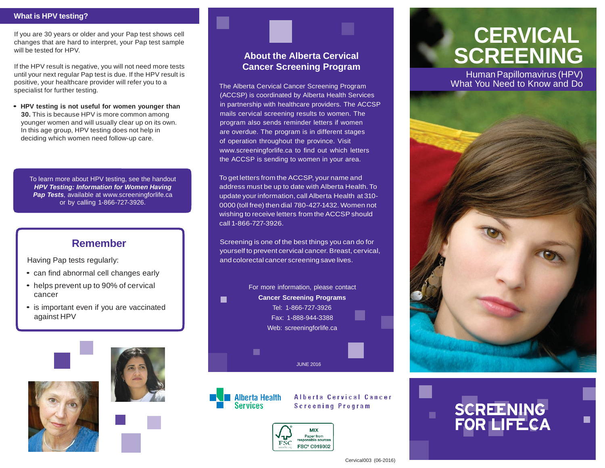### **What is HPV testing?**

If you are 30 years or older and your Pap test shows cell changes that are hard to interpret, your Pap test sample will be tested for HPV.

If the HPV result is negative, you will not need more tests until your next regular Pap test is due. If the HPV result is positive, your healthcare provider will refer you to a specialist for further testing.

**• HPV testing is not useful for women younger than 30.** This is because HPV is more common among younger women and will usually clear up on its own. In this age group, HPV testing does not help in deciding which women need follow-up care.

To learn more about HPV testing, see the handout *HPV Testing: Information for Women Having*  **Pap Tests**, available at [www.screeningforlife.ca](http://www.screeningforlife.ca/) or by calling 1-866-727-3926.

# **Remember**

Having Pap tests regularly:

- can find abnormal cell changes early
- helps prevent up to 90% of cervical cancer
- is important even if you are vaccinated against HPV







## **About the Alberta Cervical Cancer Screening Program**

The Alberta Cervical Cancer Screening Program (ACCSP) is coordinated by Alberta Health Services in partnership with healthcare providers. The ACCSP mails cervical screening results to women. The program also sends reminder letters if women are overdue. The program is in different stages of operation throughout the province. Visit [www.screeningforlife.ca to](http://www.screeningforlife.ca/) find out which letters the ACCSP is sending to women in your area.

To get letters from the ACCSP, your name and address must be up to date with Alberta Health. To update your information, call Alberta Health at 310- 0000 (toll free) then dial 780-427-1432. Women not wishing to receive letters from the ACCSP should call 1-866-727-3926.

Screening is one of the best things you can do for yourself to prevent cervical cancer. Breast, cervical, and colorectal cancer screening save lives.





Alberta Cervical Cancer **Screening Program** 



# **CERVICAL SCREENING**

Human Papillomavirus (HPV) What You Need to Know and Do





### Cervical003 (06-2016)